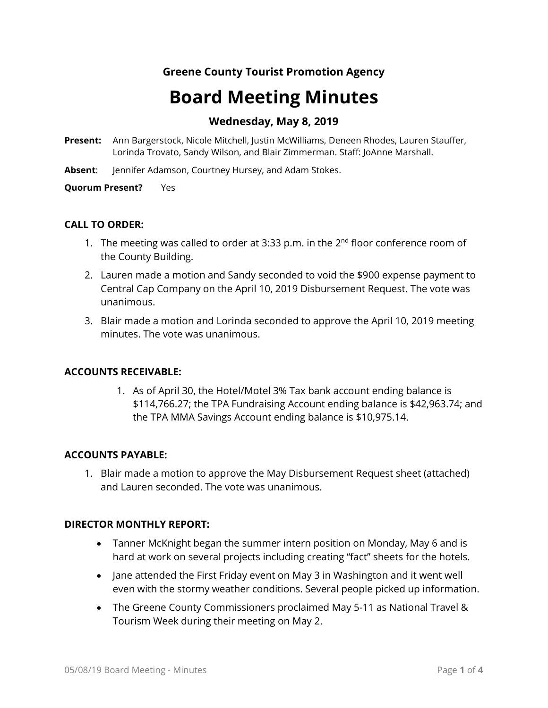# **Greene County Tourist Promotion Agency**

# **Board Meeting Minutes**

## **Wednesday, May 8, 2019**

- **Present:** Ann Bargerstock, Nicole Mitchell, Justin McWilliams, Deneen Rhodes, Lauren Stauffer, Lorinda Trovato, Sandy Wilson, and Blair Zimmerman. Staff: JoAnne Marshall.
- **Absent**: Jennifer Adamson, Courtney Hursey, and Adam Stokes.

**Quorum Present?** Yes

## **CALL TO ORDER:**

- 1. The meeting was called to order at 3:33 p.m. in the  $2^{nd}$  floor conference room of the County Building.
- 2. Lauren made a motion and Sandy seconded to void the \$900 expense payment to Central Cap Company on the April 10, 2019 Disbursement Request. The vote was unanimous.
- 3. Blair made a motion and Lorinda seconded to approve the April 10, 2019 meeting minutes. The vote was unanimous.

## **ACCOUNTS RECEIVABLE:**

1. As of April 30, the Hotel/Motel 3% Tax bank account ending balance is \$114,766.27; the TPA Fundraising Account ending balance is \$42,963.74; and the TPA MMA Savings Account ending balance is \$10,975.14.

## **ACCOUNTS PAYABLE:**

1. Blair made a motion to approve the May Disbursement Request sheet (attached) and Lauren seconded. The vote was unanimous.

## **DIRECTOR MONTHLY REPORT:**

- Tanner McKnight began the summer intern position on Monday, May 6 and is hard at work on several projects including creating "fact" sheets for the hotels.
- Jane attended the First Friday event on May 3 in Washington and it went well even with the stormy weather conditions. Several people picked up information.
- The Greene County Commissioners proclaimed May 5-11 as National Travel & Tourism Week during their meeting on May 2.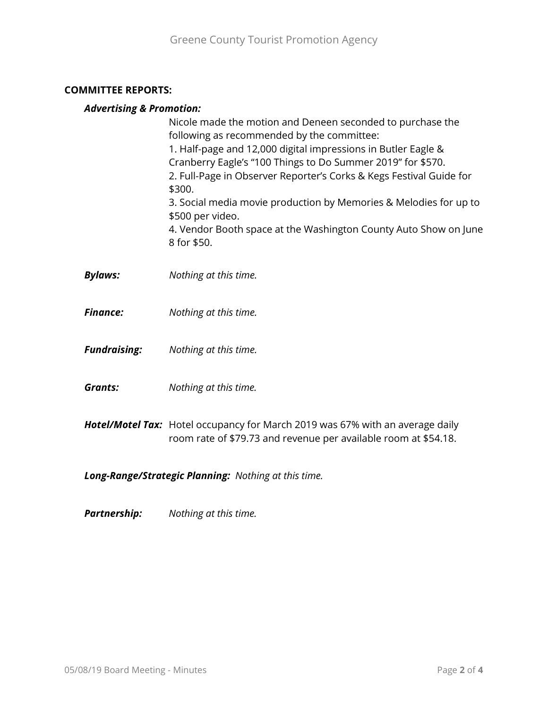## **COMMITTEE REPORTS:**

## *Advertising & Promotion:*

|                     | Nicole made the motion and Deneen seconded to purchase the<br>following as recommended by the committee:<br>1. Half-page and 12,000 digital impressions in Butler Eagle &<br>Cranberry Eagle's "100 Things to Do Summer 2019" for \$570.<br>2. Full-Page in Observer Reporter's Corks & Kegs Festival Guide for<br>\$300.<br>3. Social media movie production by Memories & Melodies for up to<br>\$500 per video.<br>4. Vendor Booth space at the Washington County Auto Show on June<br>8 for \$50. |
|---------------------|-------------------------------------------------------------------------------------------------------------------------------------------------------------------------------------------------------------------------------------------------------------------------------------------------------------------------------------------------------------------------------------------------------------------------------------------------------------------------------------------------------|
| <b>Bylaws:</b>      | Nothing at this time.                                                                                                                                                                                                                                                                                                                                                                                                                                                                                 |
| <b>Finance:</b>     | Nothing at this time.                                                                                                                                                                                                                                                                                                                                                                                                                                                                                 |
| <b>Fundraising:</b> | Nothing at this time.                                                                                                                                                                                                                                                                                                                                                                                                                                                                                 |
| <b>Grants:</b>      | Nothing at this time.                                                                                                                                                                                                                                                                                                                                                                                                                                                                                 |
|                     | Hotel/Motel Tax: Hotel occupancy for March 2019 was 67% with an average daily<br>room rate of \$79.73 and revenue per available room at \$54.18.                                                                                                                                                                                                                                                                                                                                                      |

*Long-Range/Strategic Planning: Nothing at this time.*

*Partnership: Nothing at this time.*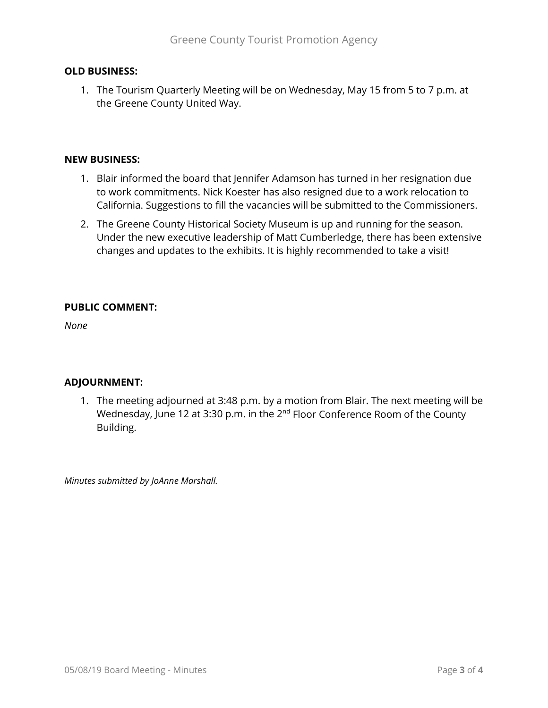## **OLD BUSINESS:**

1. The Tourism Quarterly Meeting will be on Wednesday, May 15 from 5 to 7 p.m. at the Greene County United Way.

## **NEW BUSINESS:**

- 1. Blair informed the board that Jennifer Adamson has turned in her resignation due to work commitments. Nick Koester has also resigned due to a work relocation to California. Suggestions to fill the vacancies will be submitted to the Commissioners.
- 2. The Greene County Historical Society Museum is up and running for the season. Under the new executive leadership of Matt Cumberledge, there has been extensive changes and updates to the exhibits. It is highly recommended to take a visit!

## **PUBLIC COMMENT:**

*None*

## **ADJOURNMENT:**

1. The meeting adjourned at 3:48 p.m. by a motion from Blair. The next meeting will be Wednesday, June 12 at 3:30 p.m. in the 2<sup>nd</sup> Floor Conference Room of the County Building.

*Minutes submitted by JoAnne Marshall.*